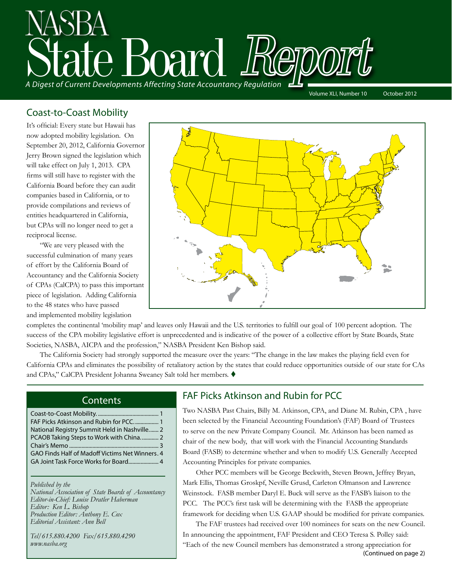

Volume XLI, Number 10 October 2012

# Coast-to-Coast Mobility

It's official: Every state but Hawaii has now adopted mobility legislation. On September 20, 2012, California Governor Jerry Brown signed the legislation which will take effect on July 1, 2013. CPA firms will still have to register with the California Board before they can audit companies based in California, or to provide compilations and reviews of entities headquartered in California, but CPAs will no longer need to get a reciprocal license.

"We are very pleased with the successful culmination of many years of effort by the California Board of Accountancy and the California Society of CPAs (CalCPA) to pass this important piece of legislation. Adding California to the 48 states who have passed and implemented mobility legislation



completes the continental 'mobility map' and leaves only Hawaii and the U.S. territories to fulfill our goal of 100 percent adoption. The success of the CPA mobility legislative effort is unprecedented and is indicative of the power of a collective effort by State Boards, State Societies, NASBA, AICPA and the profession," NASBA President Ken Bishop said.

The California Society had strongly supported the measure over the years: "The change in the law makes the playing field even for California CPAs and eliminates the possibility of retaliatory action by the states that could reduce opportunities outside of our state for CAs and CPAs," CalCPA President Johanna Sweaney Salt told her members. ♦

### **Contents**

| National Registry Summit Held in Nashville 2    |  |
|-------------------------------------------------|--|
|                                                 |  |
|                                                 |  |
| GAO Finds Half of Madoff Victims Net Winners. 4 |  |
|                                                 |  |
|                                                 |  |

*Published by the* 

*National Association of State Boards of Accountancy Editor-in-Chief: Louise Dratler Haberman Editor: Ken L. Bishop Production Editor: Anthony E. Cox Editorial Assistant: Ann Bell* 

*Tel/615.880.4200 Fax/615.880.4290 www.nasba.org*

# FAF Picks Atkinson and Rubin for PCC

Two NASBA Past Chairs, Billy M. Atkinson, CPA, and Diane M. Rubin, CPA , have been selected by the Financial Accounting Foundation's (FAF) Board of Trustees to serve on the new Private Company Council. Mr. Atkinson has been named as chair of the new body, that will work with the Financial Accounting Standards Board (FASB) to determine whether and when to modify U.S. Generally Accepted Accounting Principles for private companies.

Other PCC members will be George Beckwith, Steven Brown, Jeffrey Bryan, Mark Ellis, Thomas Groskpf, Neville Grusd, Carleton Olmanson and Lawrence Weinstock. FASB member Daryl E. Buck will serve as the FASB's liaison to the PCC. The PCC's first task will be determining with the FASB the appropriate framework for deciding when U.S. GAAP should be modified for private companies.

The FAF trustees had received over 100 nominees for seats on the new Council. In announcing the appointment, FAF President and CEO Teresa S. Polley said: "Each of the new Council members has demonstrated a strong appreciation for (Continued on page 2)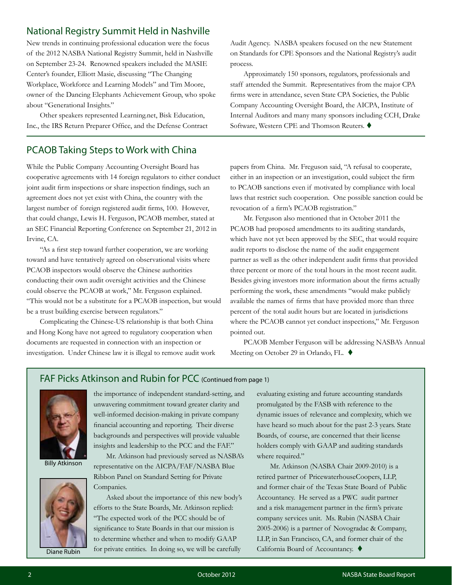# National Registry Summit Held in Nashville

New trends in continuing professional education were the focus of the 2012 NASBA National Registry Summit, held in Nashville on September 23-24. Renowned speakers included the MASIE Center's founder, Elliott Masie, discussing "The Changing Workplace, Workforce and Learning Models" and Tim Moore, owner of the Dancing Elephants Achievement Group, who spoke about "Generational Insights."

Other speakers represented Learning.net, Bisk Education, Inc., the IRS Return Preparer Office, and the Defense Contract

# PCAOB Taking Steps to Work with China

While the Public Company Accounting Oversight Board has cooperative agreements with 14 foreign regulators to either conduct joint audit firm inspections or share inspection findings, such an agreement does not yet exist with China, the country with the largest number of foreign registered audit firms, 100. However, that could change, Lewis H. Ferguson, PCAOB member, stated at an SEC Financial Reporting Conference on September 21, 2012 in Irvine, CA.

"As a first step toward further cooperation, we are working toward and have tentatively agreed on observational visits where PCAOB inspectors would observe the Chinese authorities conducting their own audit oversight activities and the Chinese could observe the PCAOB at work," Mr. Ferguson explained. "This would not be a substitute for a PCAOB inspection, but would be a trust building exercise between regulators."

Complicating the Chinese-US relationship is that both China and Hong Kong have not agreed to regulatory cooperation when documents are requested in connection with an inspection or investigation. Under Chinese law it is illegal to remove audit work Audit Agency. NASBA speakers focused on the new Statement on Standards for CPE Sponsors and the National Registry's audit process.

Approximately 150 sponsors, regulators, professionals and staff attended the Summit. Representatives from the major CPA firms were in attendance, seven State CPA Societies, the Public Company Accounting Oversight Board, the AICPA, Institute of Internal Auditors and many many sponsors including CCH, Drake Software, Western CPE and Thomson Reuters.  $\blacklozenge$ 

papers from China. Mr. Freguson said, "A refusal to cooperate, either in an inspection or an investigation, could subject the firm to PCAOB sanctions even if motivated by compliance with local laws that restrict such cooperation. One possible sanction could be revocation of a firm's PCAOB registration."

Mr. Ferguson also mentioned that in October 2011 the PCAOB had proposed amendments to its auditing standards, which have not yet been approved by the SEC, that would require audit reports to disclose the name of the audit engagement partner as well as the other independent audit firms that provided three percent or more of the total hours in the most recent audit. Besides giving investors more information about the firms actually performing the work, these amendments "would make publicly available the names of firms that have provided more than three percent of the total audit hours but are located in jurisdictions where the PCAOB cannot yet conduct inspections," Mr. Ferguson pointed out.

PCAOB Member Ferguson will be addressing NASBA's Annual Meeting on October 29 in Orlando, FL. ♦

# FAF Picks Atkinson and Rubin for PCC (Continued from page 1)



Billy Atkinson



Diane Rubin

the importance of independent standard-setting, and unwavering commitment toward greater clarity and well-informed decision-making in private company financial accounting and reporting. Their diverse backgrounds and perspectives will provide valuable insights and leadership to the PCC and the FAF."

Mr. Atkinson had previously served as NASBA's representative on the AICPA/FAF/NASBA Blue Ribbon Panel on Standard Setting for Private Companies.

Asked about the importance of this new body's efforts to the State Boards, Mr. Atkinson replied: "The expected work of the PCC should be of significance to State Boards in that our mission is to determine whether and when to modify GAAP for private entities. In doing so, we will be carefully

evaluating existing and future accounting standards promulgated by the FASB with reference to the dynamic issues of relevance and complexity, which we have heard so much about for the past 2-3 years. State Boards, of course, are concerned that their license holders comply with GAAP and auditing standards where required."

Mr. Atkinson (NASBA Chair 2009-2010) is a retired partner of PricewaterhouseCoopers, LLP, and former chair of the Texas State Board of Public Accountancy. He served as a PWC audit partner and a risk management partner in the firm's private company services unit. Ms. Rubin (NASBA Chair 2005-2006) is a partner of Novogradac & Company, LLP, in San Francisco, CA, and former chair of the California Board of Accountancy. ♦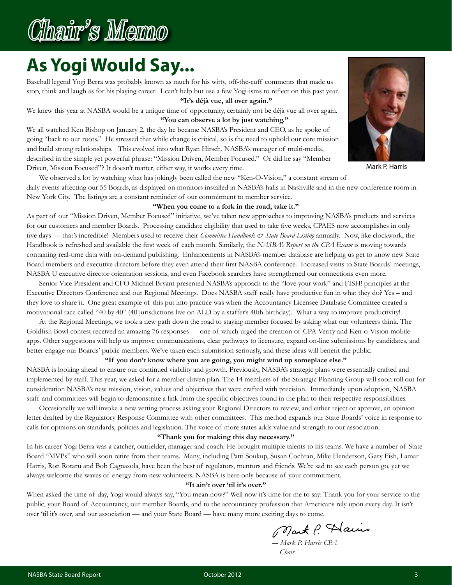# Chair's Memo

# **As Yogi Would Say...**

Baseball legend Yogi Berra was probably known as much for his witty, off-the-cuff comments that made us stop, think and laugh as for his playing career. I can't help but use a few Yogi-isms to reflect on this past year.  **"It's déjà vue, all over again."**

We knew this year at NASBA would be a unique time of opportunity, certainly not be déjà vue all over again.  **"You can observe a lot by just watching."**

We all watched Ken Bishop on January 2, the day he became NASBA's President and CEO, as he spoke of going "back to our roots." He stressed that while change is critical, so is the need to uphold our core mission and build strong relationships. This evolved into what Ryan Hirsch, NASBA's manager of multi-media, described in the simple yet powerful phrase: "Mission Driven, Member Focused." Or did he say "Member Driven, Mission Focused"? It doesn't matter, either way, it works every time.



Mark P. Harris

We observed a lot by watching what has jokingly been called the new "Ken-O-Vision," a constant stream of daily events affecting our 55 Boards, as displayed on monitors installed in NASBA's halls in Nashville and in the new conference room in New York City. The listings are a constant reminder of our commitment to member service.

#### **"When you come to a fork in the road, take it."**

As part of our "Mission Driven, Member Focused" initiative, we've taken new approaches to improving NASBA's products and services for our customers and member Boards. Processing candidate eligibility that used to take five weeks, CPAES now accomplishes in only five days — that's incredible! Members used to receive their *Committee Handbook & State Board Listing* annually. Now, like clockwork, the Handbook is refreshed and available the first week of each month. Similarly, the *NASBA's Report on the CPA Exam* is moving towards containing real-time data with on-demand publishing. Enhancements in NASBA's member database are helping us get to know new State Board members and executive directors before they even attend their first NASBA conference. Increased visits to State Boards' meetings, NASBA U executive director orientation sessions, and even Facebook searches have strengthened our connections even more.

Senior Vice President and CFO Michael Bryant presented NASBA's approach to the "love your work" and FISH! principles at the Executive Directors Conference and our Regional Meetings. Does NASBA staff really have productive fun in what they do? Yes – and they love to share it. One great example of this put into practice was when the Accountancy Licensee Database Committee created a motivational race called "40 by 40" (40 jurisdictions live on ALD by a staffer's 40th birthday). What a way to improve productivity!

At the Regional Meetings, we took a new path down the road to staying member focused by asking what our volunteers think. The Goldfish Bowl contest received an amazing 76 responses — one of which urged the creation of CPA Verify and Ken-o-Vision mobile apps. Other suggestions will help us improve communications, clear pathways to licensure, expand on-line submissions by candidates, and better engage our Boards' public members. We've taken each submission seriously, and these ideas will benefit the public.

#### **"If you don't know where you are going, you might wind up someplace else."**

NASBA is looking ahead to ensure our continued viability and growth. Previously, NASBA's strategic plans were essentially crafted and implemented by staff. This year, we asked for a member-driven plan. The 14 members of the Strategic Planning Group will soon roll out for consideration NASBA's new mission, vision, values and objectives that were crafted with precision. Immediately upon adoption, NASBA staff and committees will begin to demonstrate a link from the specific objectives found in the plan to their respective responsibilities.

Occasionally we will invoke a new vetting process asking your Regional Directors to review, and either reject or approve, an opinion letter drafted by the Regulatory Response Committee with other committees. This method expands our State Boards' voice in response to calls for opinions on standards, policies and legislation. The voice of more states adds value and strength to our association.

#### **"Thank you for making this day necessary."**

In his career Yogi Berra was a catcher, outfielder, manager and coach. He brought multiple talents to his teams. We have a number of State Board "MVPs" who will soon retire from their teams. Many, including Patti Soukup, Susan Cochran, Mike Henderson, Gary Fish, Lamar Harris, Ron Rotaru and Bob Cagnasola, have been the best of regulators, mentors and friends. We're sad to see each person go, yet we always welcome the waves of energy from new volunteers. NASBA is here only because of your commitment.

#### **"It ain't over 'til it's over."**

When asked the time of day, Yogi would always say, "You mean now?" Well now it's time for me to say: Thank you for your service to the public, your Board of Accountancy, our member Boards, and to the accountancy profession that Americans rely upon every day. It isn't over 'til it's over, and our association — and your State Board — have many more exciting days to come.

Mart P. Hairs

*― Mark P. Harris CPA Chair*